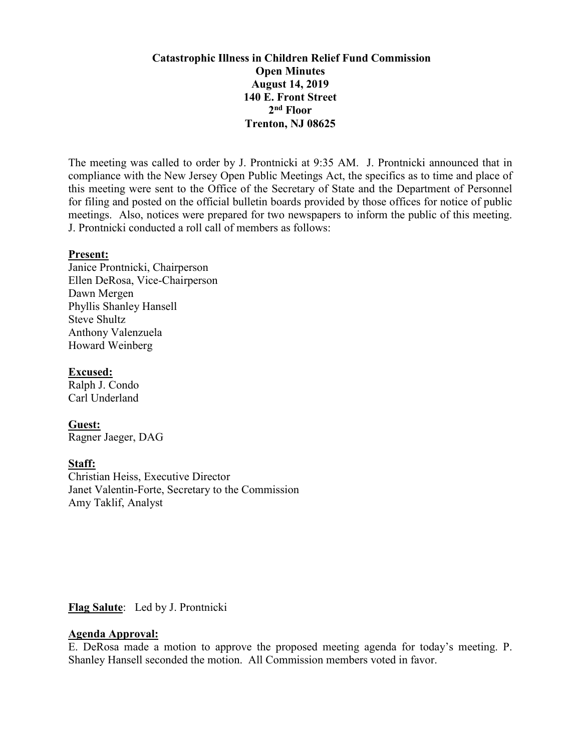# **Catastrophic Illness in Children Relief Fund Commission Open Minutes August 14, 2019 140 E. Front Street 2nd Floor Trenton, NJ 08625**

The meeting was called to order by J. Prontnicki at 9:35 AM. J. Prontnicki announced that in compliance with the New Jersey Open Public Meetings Act, the specifics as to time and place of this meeting were sent to the Office of the Secretary of State and the Department of Personnel for filing and posted on the official bulletin boards provided by those offices for notice of public meetings. Also, notices were prepared for two newspapers to inform the public of this meeting. J. Prontnicki conducted a roll call of members as follows:

#### **Present:**

Janice Prontnicki, Chairperson Ellen DeRosa, Vice-Chairperson Dawn Mergen Phyllis Shanley Hansell Steve Shultz Anthony Valenzuela Howard Weinberg

# **Excused:**

Ralph J. Condo Carl Underland

### **Guest:**

Ragner Jaeger, DAG

### **Staff:**

Christian Heiss, Executive Director Janet Valentin-Forte, Secretary to the Commission Amy Taklif, Analyst

# **Flag Salute**: Led by J. Prontnicki

# **Agenda Approval:**

E. DeRosa made a motion to approve the proposed meeting agenda for today's meeting. P. Shanley Hansell seconded the motion. All Commission members voted in favor.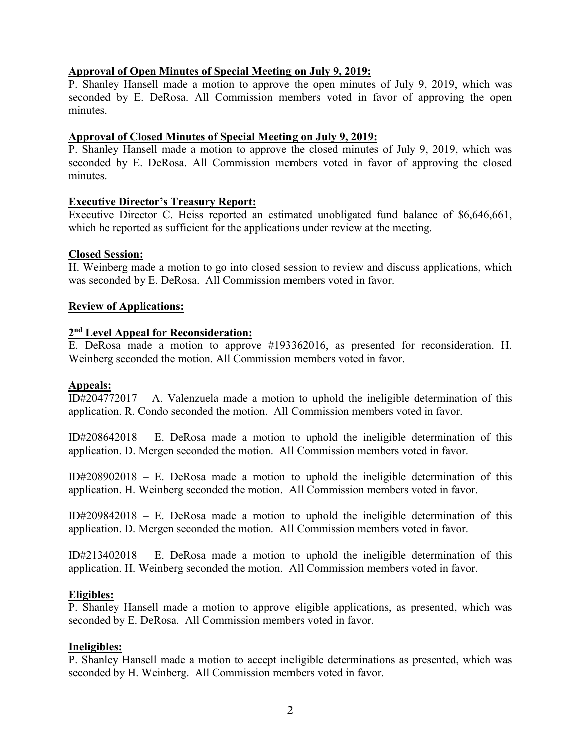## **Approval of Open Minutes of Special Meeting on July 9, 2019:**

P. Shanley Hansell made a motion to approve the open minutes of July 9, 2019, which was seconded by E. DeRosa. All Commission members voted in favor of approving the open minutes.

### **Approval of Closed Minutes of Special Meeting on July 9, 2019:**

P. Shanley Hansell made a motion to approve the closed minutes of July 9, 2019, which was seconded by E. DeRosa. All Commission members voted in favor of approving the closed minutes.

### **Executive Director's Treasury Report:**

Executive Director C. Heiss reported an estimated unobligated fund balance of \$6,646,661, which he reported as sufficient for the applications under review at the meeting.

### **Closed Session:**

H. Weinberg made a motion to go into closed session to review and discuss applications, which was seconded by E. DeRosa. All Commission members voted in favor.

#### **Review of Applications:**

## **2nd Level Appeal for Reconsideration:**

E. DeRosa made a motion to approve #193362016, as presented for reconsideration. H. Weinberg seconded the motion. All Commission members voted in favor.

### **Appeals:**

ID $\sharp$ 204772017 – A. Valenzuela made a motion to uphold the ineligible determination of this application. R. Condo seconded the motion. All Commission members voted in favor.

ID#208642018 – E. DeRosa made a motion to uphold the ineligible determination of this application. D. Mergen seconded the motion. All Commission members voted in favor.

ID#208902018 – E. DeRosa made a motion to uphold the ineligible determination of this application. H. Weinberg seconded the motion. All Commission members voted in favor.

ID#209842018 – E. DeRosa made a motion to uphold the ineligible determination of this application. D. Mergen seconded the motion. All Commission members voted in favor.

ID#213402018 – E. DeRosa made a motion to uphold the ineligible determination of this application. H. Weinberg seconded the motion. All Commission members voted in favor.

### **Eligibles:**

P. Shanley Hansell made a motion to approve eligible applications, as presented, which was seconded by E. DeRosa. All Commission members voted in favor.

### **Ineligibles:**

P. Shanley Hansell made a motion to accept ineligible determinations as presented, which was seconded by H. Weinberg. All Commission members voted in favor.